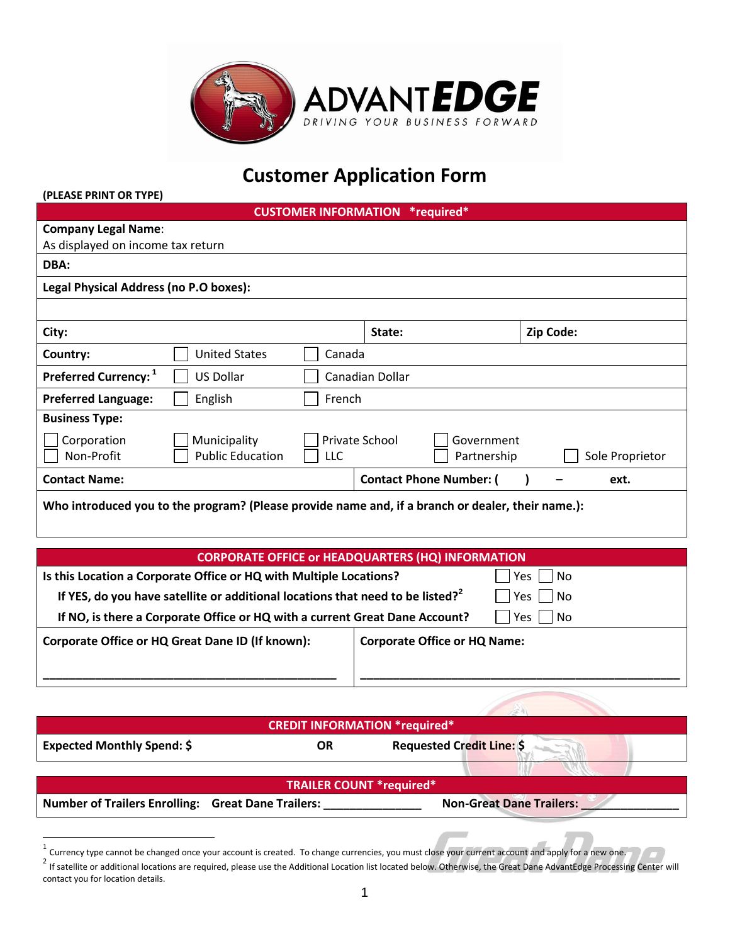

# **Customer Application Form**

| (PLEASE PRINT OR TYPE)                  |                                                                                                   |                             |                 |                                |           |                 |
|-----------------------------------------|---------------------------------------------------------------------------------------------------|-----------------------------|-----------------|--------------------------------|-----------|-----------------|
|                                         |                                                                                                   | <b>CUSTOMER INFORMATION</b> |                 | *required*                     |           |                 |
| <b>Company Legal Name:</b>              |                                                                                                   |                             |                 |                                |           |                 |
| As displayed on income tax return       |                                                                                                   |                             |                 |                                |           |                 |
| DBA:                                    |                                                                                                   |                             |                 |                                |           |                 |
| Legal Physical Address (no P.O boxes):  |                                                                                                   |                             |                 |                                |           |                 |
|                                         |                                                                                                   |                             |                 |                                |           |                 |
| City:                                   |                                                                                                   |                             | State:          |                                | Zip Code: |                 |
| Country:                                | <b>United States</b>                                                                              | Canada                      |                 |                                |           |                 |
| <b>Preferred Currency:</b> <sup>1</sup> | <b>US Dollar</b>                                                                                  |                             | Canadian Dollar |                                |           |                 |
| <b>Preferred Language:</b>              | English                                                                                           | French                      |                 |                                |           |                 |
| <b>Business Type:</b>                   |                                                                                                   |                             |                 |                                |           |                 |
| Corporation                             | Municipality                                                                                      |                             | Private School  | Government                     |           |                 |
| Non-Profit                              | <b>Public Education</b>                                                                           | LLC                         |                 | Partnership                    |           | Sole Proprietor |
| <b>Contact Name:</b>                    |                                                                                                   |                             |                 | <b>Contact Phone Number: (</b> |           | ext.            |
|                                         | Who introduced you to the program? (Please provide name and, if a branch or dealer, their name.): |                             |                 |                                |           |                 |

| <b>CORPORATE OFFICE or HEADQUARTERS (HQ) INFORMATION</b>                                   |                                     |                  |
|--------------------------------------------------------------------------------------------|-------------------------------------|------------------|
| Is this Location a Corporate Office or HQ with Multiple Locations?                         |                                     | No<br><b>Yes</b> |
| If YES, do you have satellite or additional locations that need to be listed? <sup>2</sup> |                                     | $ $ No<br>Yes    |
| If NO, is there a Corporate Office or HQ with a current Great Dane Account?                |                                     | No<br>Yes        |
| Corporate Office or HQ Great Dane ID (If known):                                           | <b>Corporate Office or HQ Name:</b> |                  |
|                                                                                            |                                     |                  |

|                                                    | <b>CREDIT INFORMATION *required*</b> |                                  |
|----------------------------------------------------|--------------------------------------|----------------------------------|
| <b>Expected Monthly Spend: \$</b>                  | OR                                   | <b>Requested Credit Line: \$</b> |
|                                                    | <b>TRAILER COUNT *required*</b>      |                                  |
| Number of Trailers Enrolling: Great Dane Trailers: |                                      | <b>Non-Great Dane Trailers:</b>  |

detaincy type cannot be changed once your account is created. To change currencies, you must close your current account and apply for a new one.

 $^2$  If satellite or additional locations are required, please use the Additional Location list located below. Otherwise, the Great Dane AdvantEdge Processing Center will contact you for location details.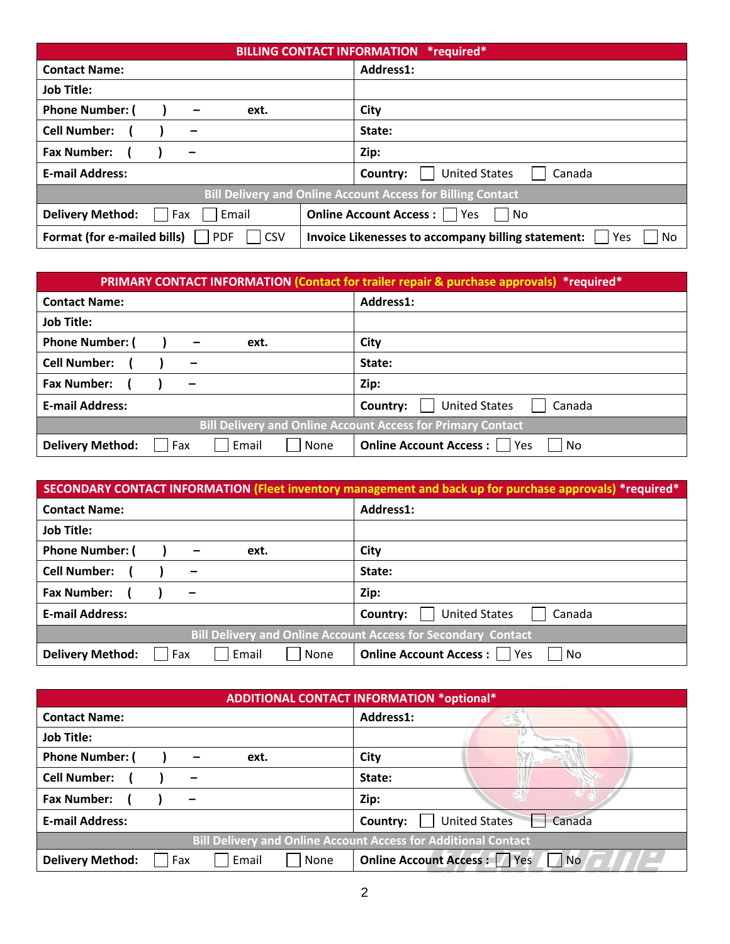|                                                    | <b>BILLING CONTACT INFORMATION *required*</b>                      |
|----------------------------------------------------|--------------------------------------------------------------------|
| <b>Contact Name:</b>                               | Address1:                                                          |
| <b>Job Title:</b>                                  |                                                                    |
| <b>Phone Number: (</b><br>ext.<br>-                | City                                                               |
| <b>Cell Number:</b><br>-                           | State:                                                             |
| <b>Fax Number:</b><br>Zip:<br>—                    |                                                                    |
| <b>E-mail Address:</b>                             | <b>United States</b><br>Canada<br>Country:                         |
|                                                    | <b>Bill Delivery and Online Account Access for Billing Contact</b> |
| Email<br><b>Delivery Method:</b><br>Fax            | <b>Online Account Access:</b>   Yes<br>No.                         |
| Format (for e-mailed bills)<br>  CSV<br><b>PDF</b> | Invoice Likenesses to accompany billing statement:<br>No<br>Yes    |

|                                                 | <b>PRIMARY CONTACT INFORMATION (Contact for trailer repair &amp; purchase approvals) *required*</b> |
|-------------------------------------------------|-----------------------------------------------------------------------------------------------------|
| <b>Contact Name:</b>                            | Address1:                                                                                           |
| <b>Job Title:</b>                               |                                                                                                     |
| <b>Phone Number: (</b><br>ext.<br>-             | City                                                                                                |
| <b>Cell Number:</b><br>-                        | State:                                                                                              |
| <b>Fax Number:</b><br>-                         | Zip:                                                                                                |
| <b>E-mail Address:</b>                          | <b>United States</b><br>Canada<br>Country:                                                          |
|                                                 | <b>Bill Delivery and Online Account Access for Primary Contact</b>                                  |
| Email<br><b>Delivery Method:</b><br>Fax<br>None | <b>Online Account Access:</b><br>Yes<br>No                                                          |

|                                                 | SECONDARY CONTACT INFORMATION (Fleet inventory management and back up for purchase approvals) *required* |
|-------------------------------------------------|----------------------------------------------------------------------------------------------------------|
| <b>Contact Name:</b>                            | Address1:                                                                                                |
| <b>Job Title:</b>                               |                                                                                                          |
| <b>Phone Number: (</b><br>ext.<br>-             | City                                                                                                     |
| <b>Cell Number:</b><br>-                        | State:                                                                                                   |
| <b>Fax Number:</b>                              | Zip:                                                                                                     |
| <b>E-mail Address:</b>                          | <b>United States</b><br>Canada<br>Country:                                                               |
|                                                 | <b>Bill Delivery and Online Account Access for Secondary Contact</b>                                     |
| <b>Delivery Method:</b><br>Email<br>Fax<br>None | <b>Online Account Access:</b><br>Yes<br>No.                                                              |

|                                                 | <b>ADDITIONAL CONTACT INFORMATION *optional*</b>                      |
|-------------------------------------------------|-----------------------------------------------------------------------|
| <b>Contact Name:</b>                            | Address1:                                                             |
| <b>Job Title:</b>                               |                                                                       |
| <b>Phone Number: (</b><br>ext.                  | City                                                                  |
| <b>Cell Number:</b>                             | State:                                                                |
| <b>Fax Number:</b>                              | Zip:                                                                  |
| <b>E-mail Address:</b>                          | <b>United States</b><br>Canada<br>Country:                            |
|                                                 | <b>Bill Delivery and Online Account Access for Additional Contact</b> |
| <b>Delivery Method:</b><br>Fax<br>Email<br>None | <b>Online Account Access: Yes</b><br>$\overline{\mathsf{No}}$         |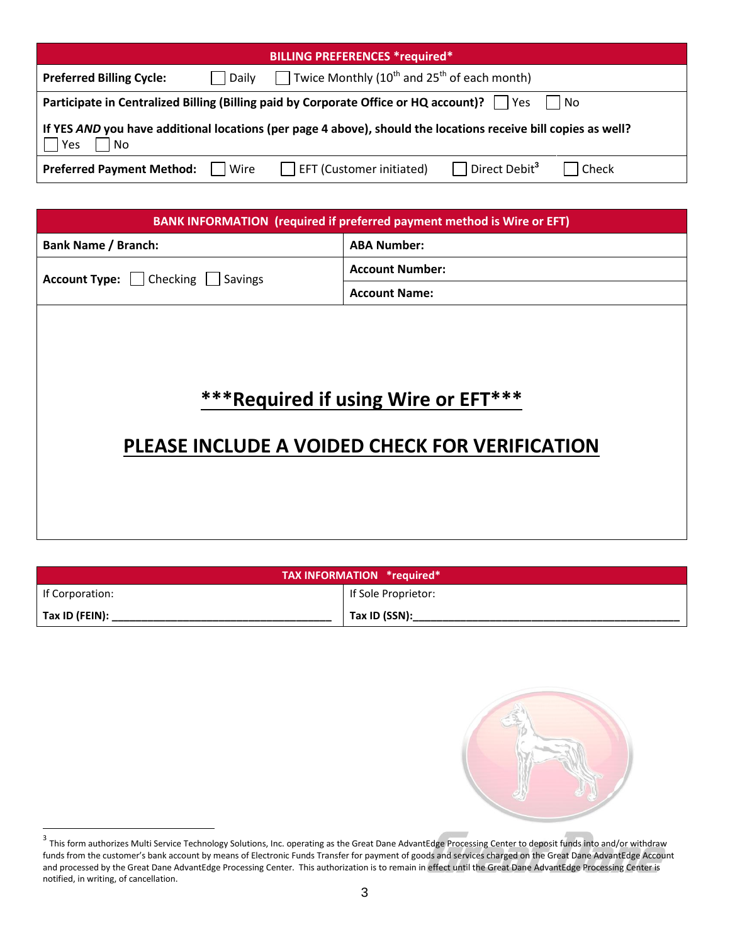|                                            | <b>BILLING PREFERENCES *required*</b>                                                                          |
|--------------------------------------------|----------------------------------------------------------------------------------------------------------------|
| <b>Preferred Billing Cycle:</b><br>  Daily | Twice Monthly (10 <sup>th</sup> and 25 <sup>th</sup> of each month)                                            |
|                                            | <b>Participate in Centralized Billing (Billing paid by Corporate Office or HQ account)?</b>     Yes<br>l INO   |
| Yes<br><b>No</b>                           | If YES AND you have additional locations (per page 4 above), should the locations receive bill copies as well? |
| <b>Preferred Payment Method:</b>     Wire  | $\Box$ Direct Debit <sup>3</sup><br>EFT (Customer initiated)<br>Check                                          |

|                                         | BANK INFORMATION (required if preferred payment method is Wire or EFT)                 |
|-----------------------------------------|----------------------------------------------------------------------------------------|
| <b>Bank Name / Branch:</b>              | <b>ABA Number:</b>                                                                     |
| <b>Account Type:</b>   Checking Savings | <b>Account Number:</b>                                                                 |
|                                         | <b>Account Name:</b>                                                                   |
|                                         | *** Required if using Wire or EFT***<br>PLEASE INCLUDE A VOIDED CHECK FOR VERIFICATION |
|                                         |                                                                                        |

|                        | TAX INFORMATION *required* |
|------------------------|----------------------------|
| If Corporation:        | If Sole Proprietor:        |
| $\vert$ Tax ID (FEIN): | Tax ID (SSN):              |



and this form authorizes Multi Service Technology Solutions, Inc. operating as the Great Dane AdvantEdge Processing Center to deposit funds into and/or withdraw<br>This form authorizes Multi Service Technology Solutions, Inc. funds from the customer's bank account by means of Electronic Funds Transfer for payment of goods and services charged on the Great Dane AdvantEdge Account and processed by the Great Dane AdvantEdge Processing Center. This authorization is to remain in effect until the Great Dane AdvantEdge Processing Center is notified, in writing, of cancellation.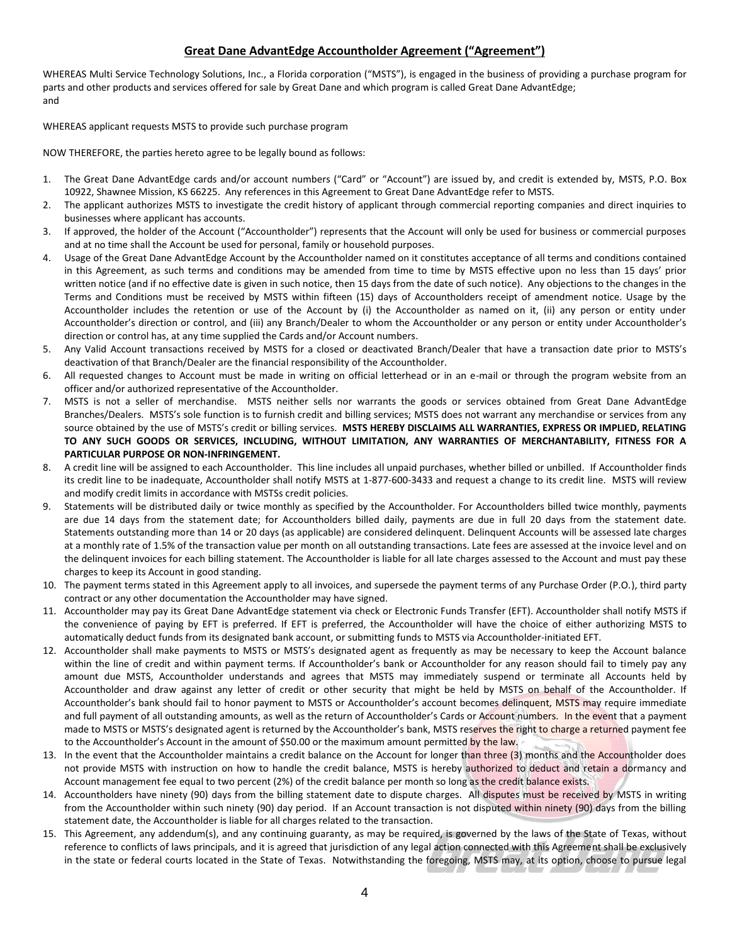#### **Great Dane AdvantEdge Accountholder Agreement ("Agreement")**

WHEREAS Multi Service Technology Solutions, Inc., a Florida corporation ("MSTS"), is engaged in the business of providing a purchase program for parts and other products and services offered for sale by Great Dane and which program is called Great Dane AdvantEdge; and

WHEREAS applicant requests MSTS to provide such purchase program

NOW THEREFORE, the parties hereto agree to be legally bound as follows:

- 1. The Great Dane AdvantEdge cards and/or account numbers ("Card" or "Account") are issued by, and credit is extended by, MSTS, P.O. Box 10922, Shawnee Mission, KS 66225. Any references in this Agreement to Great Dane AdvantEdge refer to MSTS.
- 2. The applicant authorizes MSTS to investigate the credit history of applicant through commercial reporting companies and direct inquiries to businesses where applicant has accounts.
- 3. If approved, the holder of the Account ("Accountholder") represents that the Account will only be used for business or commercial purposes and at no time shall the Account be used for personal, family or household purposes.
- 4. Usage of the Great Dane AdvantEdge Account by the Accountholder named on it constitutes acceptance of all terms and conditions contained in this Agreement, as such terms and conditions may be amended from time to time by MSTS effective upon no less than 15 days' prior written notice (and if no effective date is given in such notice, then 15 days from the date of such notice). Any objections to the changes in the Terms and Conditions must be received by MSTS within fifteen (15) days of Accountholders receipt of amendment notice. Usage by the Accountholder includes the retention or use of the Account by (i) the Accountholder as named on it, (ii) any person or entity under Accountholder's direction or control, and (iii) any Branch/Dealer to whom the Accountholder or any person or entity under Accountholder's direction or control has, at any time supplied the Cards and/or Account numbers.
- 5. Any Valid Account transactions received by MSTS for a closed or deactivated Branch/Dealer that have a transaction date prior to MSTS's deactivation of that Branch/Dealer are the financial responsibility of the Accountholder.
- 6. All requested changes to Account must be made in writing on official letterhead or in an e-mail or through the program website from an officer and/or authorized representative of the Accountholder.
- 7. MSTS is not a seller of merchandise. MSTS neither sells nor warrants the goods or services obtained from Great Dane AdvantEdge Branches/Dealers. MSTS's sole function is to furnish credit and billing services; MSTS does not warrant any merchandise or services from any source obtained by the use of MSTS's credit or billing services. **MSTS HEREBY DISCLAIMS ALL WARRANTIES, EXPRESS OR IMPLIED, RELATING TO ANY SUCH GOODS OR SERVICES, INCLUDING, WITHOUT LIMITATION, ANY WARRANTIES OF MERCHANTABILITY, FITNESS FOR A PARTICULAR PURPOSE OR NON-INFRINGEMENT.**
- 8. A credit line will be assigned to each Accountholder. This line includes all unpaid purchases, whether billed or unbilled. If Accountholder finds its credit line to be inadequate, Accountholder shall notify MSTS at 1-877-600-3433 and request a change to its credit line. MSTS will review and modify credit limits in accordance with MSTSs credit policies.
- 9. Statements will be distributed daily or twice monthly as specified by the Accountholder. For Accountholders billed twice monthly, payments are due 14 days from the statement date; for Accountholders billed daily, payments are due in full 20 days from the statement date. Statements outstanding more than 14 or 20 days (as applicable) are considered delinquent. Delinquent Accounts will be assessed late charges at a monthly rate of 1.5% of the transaction value per month on all outstanding transactions. Late fees are assessed at the invoice level and on the delinquent invoices for each billing statement. The Accountholder is liable for all late charges assessed to the Account and must pay these charges to keep its Account in good standing.
- 10. The payment terms stated in this Agreement apply to all invoices, and supersede the payment terms of any Purchase Order (P.O.), third party contract or any other documentation the Accountholder may have signed.
- 11. Accountholder may pay its Great Dane AdvantEdge statement via check or Electronic Funds Transfer (EFT). Accountholder shall notify MSTS if the convenience of paying by EFT is preferred. If EFT is preferred, the Accountholder will have the choice of either authorizing MSTS to automatically deduct funds from its designated bank account, or submitting funds to MSTS via Accountholder-initiated EFT.
- 12. Accountholder shall make payments to MSTS or MSTS's designated agent as frequently as may be necessary to keep the Account balance within the line of credit and within payment terms. If Accountholder's bank or Accountholder for any reason should fail to timely pay any amount due MSTS, Accountholder understands and agrees that MSTS may immediately suspend or terminate all Accounts held by Accountholder and draw against any letter of credit or other security that might be held by MSTS on behalf of the Accountholder. If Accountholder's bank should fail to honor payment to MSTS or Accountholder's account becomes delinquent, MSTS may require immediate and full payment of all outstanding amounts, as well as the return of Accountholder's Cards or Account numbers. In the event that a payment made to MSTS or MSTS's designated agent is returned by the Accountholder's bank, MSTS reserves the right to charge a returned payment fee to the Accountholder's Account in the amount of \$50.00 or the maximum amount permitted by the law.
- 13. In the event that the Accountholder maintains a credit balance on the Account for longer than three (3) months and the Accountholder does not provide MSTS with instruction on how to handle the credit balance, MSTS is hereby authorized to deduct and retain a dormancy and Account management fee equal to two percent (2%) of the credit balance per month so long as the credit balance exists.
- 14. Accountholders have ninety (90) days from the billing statement date to dispute charges. All disputes must be received by MSTS in writing from the Accountholder within such ninety (90) day period. If an Account transaction is not disputed within ninety (90) days from the billing statement date, the Accountholder is liable for all charges related to the transaction.
- 15. This Agreement, any addendum(s), and any continuing guaranty, as may be required, is governed by the laws of the State of Texas, without reference to conflicts of laws principals, and it is agreed that jurisdiction of any legal action connected with this Agreement shall be exclusively in the state or federal courts located in the State of Texas. Notwithstanding the foregoing, MSTS may, at its option, choose to pursue legal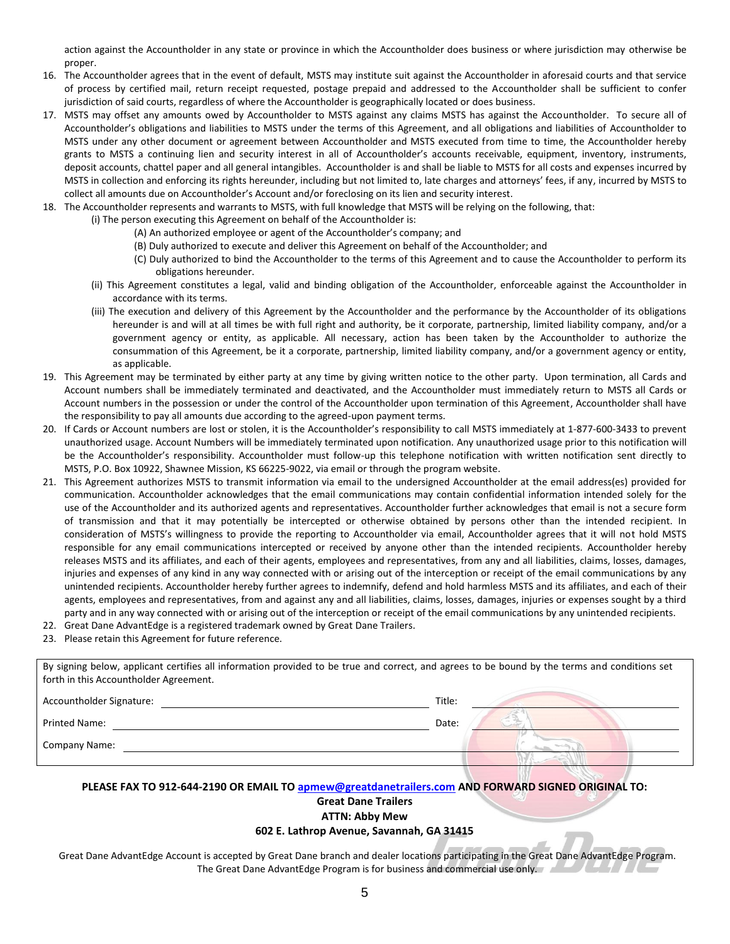action against the Accountholder in any state or province in which the Accountholder does business or where jurisdiction may otherwise be proper.

- 16. The Accountholder agrees that in the event of default, MSTS may institute suit against the Accountholder in aforesaid courts and that service of process by certified mail, return receipt requested, postage prepaid and addressed to the Accountholder shall be sufficient to confer jurisdiction of said courts, regardless of where the Accountholder is geographically located or does business.
- 17. MSTS may offset any amounts owed by Accountholder to MSTS against any claims MSTS has against the Accountholder. To secure all of Accountholder's obligations and liabilities to MSTS under the terms of this Agreement, and all obligations and liabilities of Accountholder to MSTS under any other document or agreement between Accountholder and MSTS executed from time to time, the Accountholder hereby grants to MSTS a continuing lien and security interest in all of Accountholder's accounts receivable, equipment, inventory, instruments, deposit accounts, chattel paper and all general intangibles. Accountholder is and shall be liable to MSTS for all costs and expenses incurred by MSTS in collection and enforcing its rights hereunder, including but not limited to, late charges and attorneys' fees, if any, incurred by MSTS to collect all amounts due on Accountholder's Account and/or foreclosing on its lien and security interest.
- 18. The Accountholder represents and warrants to MSTS, with full knowledge that MSTS will be relying on the following, that:
	- (i) The person executing this Agreement on behalf of the Accountholder is:
		- (A) An authorized employee or agent of the Accountholder's company; and
		- (B) Duly authorized to execute and deliver this Agreement on behalf of the Accountholder; and
		- (C) Duly authorized to bind the Accountholder to the terms of this Agreement and to cause the Accountholder to perform its obligations hereunder.
	- (ii) This Agreement constitutes a legal, valid and binding obligation of the Accountholder, enforceable against the Accountholder in accordance with its terms.
	- (iii) The execution and delivery of this Agreement by the Accountholder and the performance by the Accountholder of its obligations hereunder is and will at all times be with full right and authority, be it corporate, partnership, limited liability company, and/or a government agency or entity, as applicable. All necessary, action has been taken by the Accountholder to authorize the consummation of this Agreement, be it a corporate, partnership, limited liability company, and/or a government agency or entity, as applicable.
- 19. This Agreement may be terminated by either party at any time by giving written notice to the other party. Upon termination, all Cards and Account numbers shall be immediately terminated and deactivated, and the Accountholder must immediately return to MSTS all Cards or Account numbers in the possession or under the control of the Accountholder upon termination of this Agreement, Accountholder shall have the responsibility to pay all amounts due according to the agreed-upon payment terms.
- 20. If Cards or Account numbers are lost or stolen, it is the Accountholder's responsibility to call MSTS immediately at 1-877-600-3433 to prevent unauthorized usage. Account Numbers will be immediately terminated upon notification. Any unauthorized usage prior to this notification will be the Accountholder's responsibility. Accountholder must follow-up this telephone notification with written notification sent directly to MSTS, P.O. Box 10922, Shawnee Mission, KS 66225-9022, via email or through the program website.
- 21. This Agreement authorizes MSTS to transmit information via email to the undersigned Accountholder at the email address(es) provided for communication. Accountholder acknowledges that the email communications may contain confidential information intended solely for the use of the Accountholder and its authorized agents and representatives. Accountholder further acknowledges that email is not a secure form of transmission and that it may potentially be intercepted or otherwise obtained by persons other than the intended recipient. In consideration of MSTS's willingness to provide the reporting to Accountholder via email, Accountholder agrees that it will not hold MSTS responsible for any email communications intercepted or received by anyone other than the intended recipients. Accountholder hereby releases MSTS and its affiliates, and each of their agents, employees and representatives, from any and all liabilities, claims, losses, damages, injuries and expenses of any kind in any way connected with or arising out of the interception or receipt of the email communications by any unintended recipients. Accountholder hereby further agrees to indemnify, defend and hold harmless MSTS and its affiliates, and each of their agents, employees and representatives, from and against any and all liabilities, claims, losses, damages, injuries or expenses sought by a third party and in any way connected with or arising out of the interception or receipt of the email communications by any unintended recipients.
- 22. Great Dane AdvantEdge is a registered trademark owned by Great Dane Trailers.
- 23. Please retain this Agreement for future reference.

| By signing below, applicant certifies all information provided to be true and correct, and agrees to be bound by the terms and conditions set<br>forth in this Accountholder Agreement. |        |  |
|-----------------------------------------------------------------------------------------------------------------------------------------------------------------------------------------|--------|--|
| Accountholder Signature:                                                                                                                                                                | Title: |  |
| Printed Name:                                                                                                                                                                           | Date:  |  |
| <b>Company Name:</b>                                                                                                                                                                    |        |  |
| PLEASE FAX TO 912-644-2190 OR EMAIL TO apmew@greatdanetrailers.com AND FORWARD SIGNED ORIGINAL TO:                                                                                      |        |  |

**Great Dane Trailers ATTN: Abby Mew**

#### **602 E. Lathrop Avenue, Savannah, GA 31415**

Great Dane AdvantEdge Account is accepted by Great Dane branch and dealer locations participating in the Great Dane AdvantEdge Program. The Great Dane AdvantEdge Program is for business and commercial use only.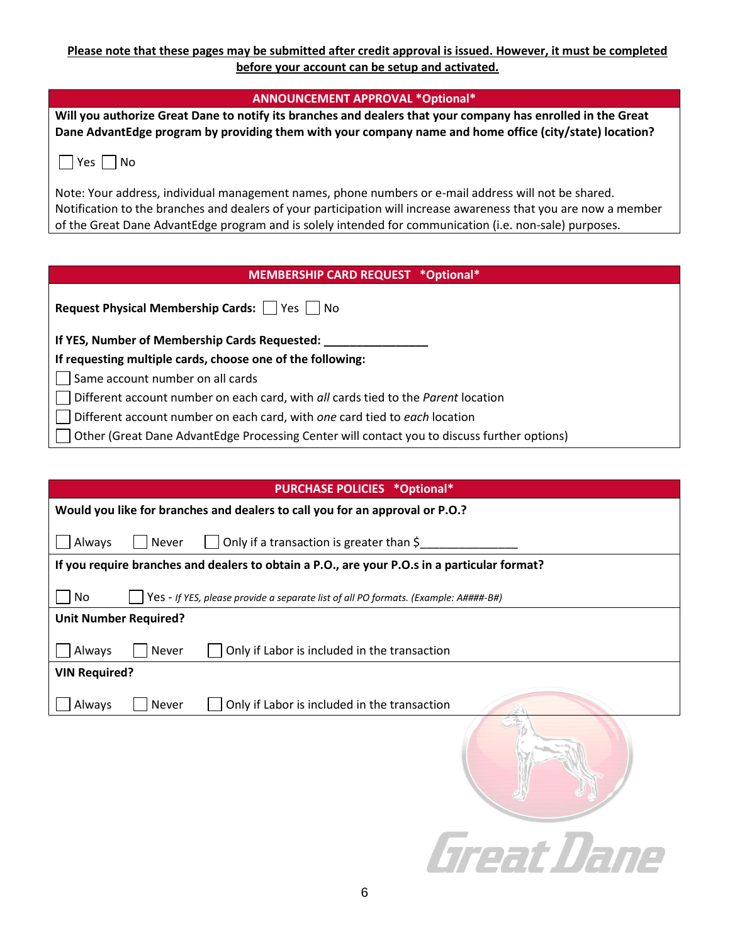### **Please note that these pages may be submitted after credit approval is issued. However, it must be completed before your account can be setup and activated.**

| <b>ANNOUNCEMENT APPROVAL *Optional*</b>                                                                                                                                                                                     |
|-----------------------------------------------------------------------------------------------------------------------------------------------------------------------------------------------------------------------------|
| Will you authorize Great Dane to notify its branches and dealers that your company has enrolled in the Great<br>Dane AdvantEdge program by providing them with your company name and home office (city/state) location?     |
| No<br>Yes I I                                                                                                                                                                                                               |
| Note: Your address, individual management names, phone numbers or e-mail address will not be shared.                                                                                                                        |
| Notification to the branches and dealers of your participation will increase awareness that you are now a member<br>of the Great Dane AdvantEdge program and is solely intended for communication (i.e. non-sale) purposes. |
|                                                                                                                                                                                                                             |
|                                                                                                                                                                                                                             |
| MEMBERSHIP CARD REQUEST *Optional*                                                                                                                                                                                          |
| Request Physical Membership Cards:     Yes     No                                                                                                                                                                           |
| If YES, Number of Membership Cards Requested: ___                                                                                                                                                                           |
| If requesting multiple cards, choose one of the following:                                                                                                                                                                  |
| Same account number on all cards                                                                                                                                                                                            |
| Different account number on each card, with all cards tied to the Parent location                                                                                                                                           |

Other (Great Dane AdvantEdge Processing Center will contact you to discuss further options)

|                                                                                                       | <b>PURCHASE POLICIES *Optional*</b>          |  |
|-------------------------------------------------------------------------------------------------------|----------------------------------------------|--|
| Would you like for branches and dealers to call you for an approval or P.O.?                          |                                              |  |
| Only if a transaction is greater than \$<br>Always<br>Never                                           |                                              |  |
| If you require branches and dealers to obtain a P.O., are your P.O.s in a particular format?          |                                              |  |
| N <sub>0</sub><br>Yes - If YES, please provide a separate list of all PO formats. (Example: A####-B#) |                                              |  |
| <b>Unit Number Required?</b>                                                                          |                                              |  |
| Always<br>Never                                                                                       | Only if Labor is included in the transaction |  |
| <b>VIN Required?</b>                                                                                  |                                              |  |
| Always<br>Never                                                                                       | Only if Labor is included in the transaction |  |
|                                                                                                       |                                              |  |
|                                                                                                       | Great Dane                                   |  |